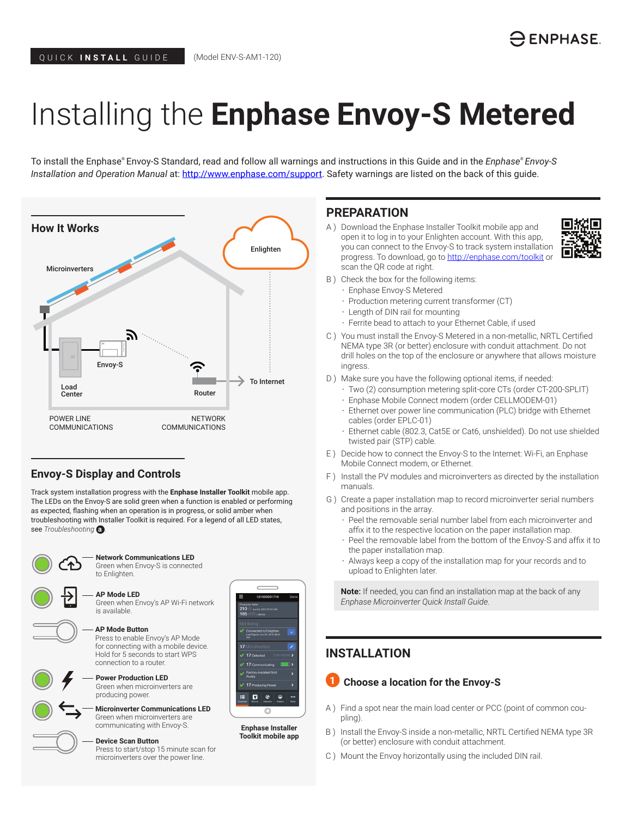# Installing the **Enphase Envoy-S Metered**

To install the Enphase® Envoy-S Standard, read and follow all warnings and instructions in this Guide and in the *Enphase® Envoy-S Installation and Operation Manual* at: <http://www.enphase.com/support>. Safety warnings are listed on the back of this guide.



# **Envoy-S Display and Controls**

Track system installation progress with the **Enphase Installer Toolkit** mobile app. The LEDs on the Envoy-S are solid green when a function is enabled or performing as expected, flashing when an operation is in progress, or solid amber when troubleshooting with Installer Toolkit is required. For a legend of all LED states, see *Troubleshooting* **a** *.*



**Network Communications LED**  Green when Envoy-S is connected

to Enlighten.

Green when Envoy's AP Wi-Fi network

**AP Mode LED**

is available.





**AP Mode Button** Press to enable Envoy's AP Mode for connecting with a mobile device. Hold for 5 seconds to start WPS connection to a router.

**Power Production LED**  Green when microinverters are producing power.

**Microinverter Communications LED** Green when microinverters are communicating with Envoy-S.

**Device Scan Button** Press to start/stop 15 minute scan for microinverters over the power line.

## **PREPARATION**

A ) Download the Enphase Installer Toolkit mobile app and open it to log in to your Enlighten account. With this app, you can connect to the Envoy-S to track system installation progress. To download, go to http://enphase.com/toolkit or scan the QR code at right.



- B ) Check the box for the following items:
	- Enphase Envoy-S Metered
	- Production metering current transformer (CT)
	- Length of DIN rail for mounting
	- Ferrite bead to attach to your Ethernet Cable, if used
- C ) You must install the Envoy-S Metered in a non-metallic, NRTL Certified NEMA type 3R (or better) enclosure with conduit attachment. Do not drill holes on the top of the enclosure or anywhere that allows moisture ingress.
- D ) Make sure you have the following optional items, if needed:
	- Two (2) consumption metering split-core CTs (order CT-200-SPLIT)
	- Enphase Mobile Connect modem (order CELLMODEM-01)
	- Ethernet over power line communication (PLC) bridge with Ethernet cables (order EPLC-01)
	- Ethernet cable (802.3, Cat5E or Cat6, unshielded). Do not use shielded twisted pair (STP) cable.
- E ) Decide how to connect the Envoy-S to the Internet: Wi-Fi, an Enphase Mobile Connect modem, or Ethernet.
- F ) Install the PV modules and microinverters as directed by the installation manuals.
- G ) Create a paper installation map to record microinverter serial numbers and positions in the array.
	- Peel the removable serial number label from each microinverter and affix it to the respective location on the paper installation map.
	- Peel the removable label from the bottom of the Envoy-S and affix it to the paper installation map.
	- Always keep a copy of the installation map for your records and to upload to Enlighten later.

**Note**: If needed, you can find an installation map at the back of any *Enphase Microinverter Quick Install Guide.*

# **INSTALLATION**

## **Choose a location for the Envoy-S**

- A ) Find a spot near the main load center or PCC (point of common coupling).
- B ) Install the Envoy-S inside a non-metallic, NRTL Certified NEMA type 3R (or better) enclosure with conduit attachment.
- C ) Mount the Envoy horizontally using the included DIN rail.



**Enphase Installer Toolkit mobile app**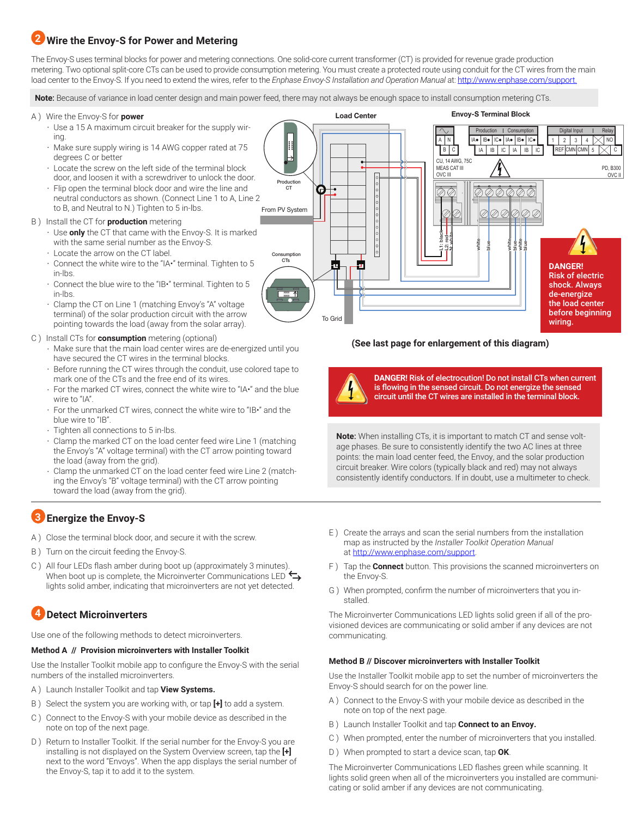# **Wire the Envoy-S for Power and Metering 2**

The Envoy-S uses terminal blocks for power and metering connections. One solid-core current transformer (CT) is provided for revenue grade production metering. Two optional split-core CTs can be used to provide consumption metering. You must create a protected route using conduit for the CT wires from the main load center to the Envoy-S. If you need to extend the wires, refer to the *Enphase Envoy-S Installation and Operation Manual* at: http://www.enphase.com/support.

**Note**: Because of variance in load center design and main power feed, there may not always be enough space to install consumption metering CTs.

- A ) Wire the Envoy-S for **power**
	- Use a 15 A maximum circuit breaker for the supply wiring.
	- Make sure supply wiring is 14 AWG copper rated at 75 degrees C or better
	- Locate the screw on the left side of the terminal block door, and loosen it with a screwdriver to unlock the door.
	- Flip open the terminal block door and wire the line and neutral conductors as shown. (Connect Line 1 to A, Line 2 to B, and Neutral to N.) Tighten to 5 in-lbs.

### B ) Install the CT for **production** metering

- Use **only** the CT that came with the Envoy-S. It is marked with the same serial number as the Envoy-S.
- Locate the arrow on the CT label.
- Connect the white wire to the "IA•" terminal. Tighten to 5 in-lbs.
- Connect the blue wire to the "IB•" terminal. Tighten to 5 in-lbs.
- Clamp the CT on Line 1 (matching Envoy's "A" voltage terminal) of the solar production circuit with the arrow pointing towards the load (away from the solar array).
- C ) Install CTs for **consumption** metering (optional)
	- Make sure that the main load center wires are de-energized until you have secured the CT wires in the terminal blocks.
	- Before running the CT wires through the conduit, use colored tape to mark one of the CTs and the free end of its wires.
	- For the marked CT wires, connect the white wire to "IA•" and the blue wire to "IA".
	- For the unmarked CT wires, connect the white wire to "IB•" and the blue wire to "IB".
	- Tighten all connections to 5 in-lbs.
	- Clamp the marked CT on the load center feed wire Line 1 (matching the Envoy's "A" voltage terminal) with the CT arrow pointing toward the load (away from the grid).
	- Clamp the unmarked CT on the load center feed wire Line 2 (matching the Envoy's "B" voltage terminal) with the CT arrow pointing toward the load (away from the grid).

# **Energize the Envoy-S 3**

- A ) Close the terminal block door, and secure it with the screw.
- B ) Turn on the circuit feeding the Envoy-S.
- C ) All four LEDs flash amber during boot up (approximately 3 minutes). When boot up is complete, the Microinverter Communications LED  $\hookrightarrow$ lights solid amber, indicating that microinverters are not yet detected.

#### **Detect Microinverters 4**

Use one of the following methods to detect microinverters.

## **Method A // Provision microinverters with Installer Toolkit**

Use the Installer Toolkit mobile app to configure the Envoy-S with the serial numbers of the installed microinverters.

- A ) Launch Installer Toolkit and tap **View Systems.**
- B ) Select the system you are working with, or tap **[+]** to add a system.
- C ) Connect to the Envoy-S with your mobile device as described in the note on top of the next page.
- D ) Return to Installer Toolkit. If the serial number for the Envoy-S you are installing is not displayed on the System Overview screen, tap the **[+]** next to the word "Envoys". When the app displays the serial number of the Envoy-S, tap it to add it to the system.



## **(See last page for enlargement of this diagram)**



**DANGER!** Risk of electrocution! Do not install CTs when current is flowing in the sensed circuit. Do not energize the sensed circuit until the CT wires are installed in the terminal block.

**Note**: When installing CTs, it is important to match CT and sense voltage phases. Be sure to consistently identify the two AC lines at three points: the main load center feed, the Envoy, and the solar production circuit breaker. Wire colors (typically black and red) may not always consistently identify conductors. If in doubt, use a multimeter to check.

- E ) Create the arrays and scan the serial numbers from the installation map as instructed by the *Installer Toolkit Operation Manual* at http://www.enphase.com/support.
- F ) Tap the **Connect** button. This provisions the scanned microinverters on the Envoy-S.
- G ) When prompted, confirm the number of microinverters that you installed.

The Microinverter Communications LED lights solid green if all of the provisioned devices are communicating or solid amber if any devices are not communicating.

## **Method B // Discover microinverters with Installer Toolkit**

Use the Installer Toolkit mobile app to set the number of microinverters the Envoy-S should search for on the power line.

- A ) Connect to the Envoy-S with your mobile device as described in the note on top of the next page.
- B ) Launch Installer Toolkit and tap **Connect to an Envoy.**
- C ) When prompted, enter the number of microinverters that you installed.
- D ) When prompted to start a device scan, tap **OK**.

The Microinverter Communications LED flashes green while scanning. It lights solid green when all of the microinverters you installed are communicating or solid amber if any devices are not communicating.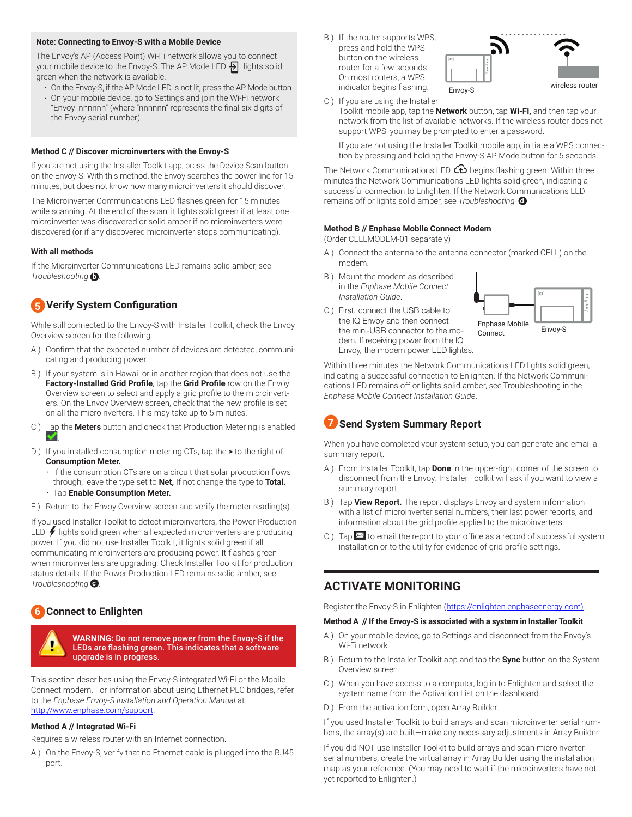#### **Note**: **Connecting to Envoy-S with a Mobile Device**

The Envoy's AP (Access Point) Wi-Fi network allows you to connect your mobile device to the Envoy-S. The AP Mode LED  $\frac{1}{2}$  lights solid green when the network is available.

- On the Envoy-S, if the AP Mode LED is not lit, press the AP Mode button.
- On your mobile device, go to Settings and join the Wi-Fi network "Envoy\_nnnnnn" (where "nnnnnn" represents the final six digits of the Envoy serial number).

#### **Method C // Discover microinverters with the Envoy-S**

If you are not using the Installer Toolkit app, press the Device Scan button on the Envoy-S. With this method, the Envoy searches the power line for 15 minutes, but does not know how many microinverters it should discover.

The Microinverter Communications LED flashes green for 15 minutes while scanning. At the end of the scan, it lights solid green if at least one microinverter was discovered or solid amber if no microinverters were discovered (or if any discovered microinverter stops communicating).

#### **With all methods**

If the Microinverter Communications LED remains solid amber, see *Troubleshooting* **b** .

## **Verify System Configuration 5**

While still connected to the Envoy-S with Installer Toolkit, check the Envoy Overview screen for the following:

- A ) Confirm that the expected number of devices are detected, communicating and producing power.
- B ) If your system is in Hawaii or in another region that does not use the **Factory-Installed Grid Profile**, tap the **Grid Profile** row on the Envoy Overview screen to select and apply a grid profile to the microinverters. On the Envoy Overview screen, check that the new profile is set on all the microinverters. This may take up to 5 minutes.
- C ) Tap the **Meters** button and check that Production Metering is enabled .
- D ) If you installed consumption metering CTs, tap the **>** to the right of **Consumption Meter.** 
	- If the consumption CTs are on a circuit that solar production flows through, leave the type set to **Net,** If not change the type to **Total.**
	- Tap **Enable Consumption Meter.**

E ) Return to the Envoy Overview screen and verify the meter reading(s).

If you used Installer Toolkit to detect microinverters, the Power Production LED  $\bigtriangledown$  lights solid green when all expected microinverters are producing power. If you did not use Installer Toolkit, it lights solid green if all communicating microinverters are producing power. It flashes green when microinverters are upgrading. Check Installer Toolkit for production status details. If the Power Production LED remains solid amber, see *Troubleshooting* **c** .

## **6** Connect to Enlighten



**WARNING:** Do not remove power from the Envoy-S if the LEDs are flashing green. This indicates that a software upgrade is in progress.

This section describes using the Envoy-S integrated Wi-Fi or the Mobile Connect modem. For information about using Ethernet PLC bridges, refer to the *Enphase Envoy-S Installation and Operation Manual* at: http://www.enphase.com/support.

#### **Method A // Integrated Wi-Fi**

Requires a wireless router with an Internet connection.

A ) On the Envoy-S, verify that no Ethernet cable is plugged into the RJ45 port.

B ) If the router supports WPS, press and hold the WPS button on the wireless router for a few seconds. On most routers, a WPS indicator begins flashing.



C ) If you are using the Installer

Toolkit mobile app, tap the **Network** button, tap **Wi-Fi,** and then tap your network from the list of available networks. If the wireless router does not support WPS, you may be prompted to enter a password.

If you are not using the Installer Toolkit mobile app, initiate a WPS connection by pressing and holding the Envoy-S AP Mode button for 5 seconds.

The Network Communications LED  $\bigcirc$  begins flashing green. Within three minutes the Network Communications LED lights solid green, indicating a successful connection to Enlighten. If the Network Communications LED remains off or lights solid amber, see *Troubleshooting* **d** *.*

#### **Method B // Enphase Mobile Connect Modem**

(Order CELLMODEM-01 separately)

- A ) Connect the antenna to the antenna connector (marked CELL) on the modem.
- B ) Mount the modem as described in the *Enphase Mobile Connect Installation Guide*.
- C ) First, connect the USB cable to the IQ Envoy and then connect the mini-USB connector to the modem. If receiving power from the IQ Envoy, the modem power LED lightss.



Within three minutes the Network Communications LED lights solid green, indicating a successful connection to Enlighten. If the Network Communications LED remains off or lights solid amber, see Troubleshooting in the *Enphase Mobile Connect Installation Guide*.

# **7** Send System Summary Report

When you have completed your system setup, you can generate and email a summary report.

- A ) From Installer Toolkit, tap **Done** in the upper-right corner of the screen to disconnect from the Envoy. Installer Toolkit will ask if you want to view a summary report.
- B ) Tap **View Report.** The report displays Envoy and system information with a list of microinverter serial numbers, their last power reports, and information about the grid profile applied to the microinverters.
- C ) Tap  $\mathbf{\Sigma}$  to email the report to your office as a record of successful system installation or to the utility for evidence of grid profile settings.

## **ACTIVATE MONITORING**

Register the Envoy-S in Enlighten (https://enlighten.enphaseenergy.com).

#### **Method A // If the Envoy-S is associated with a system in Installer Toolkit**

- A ) On your mobile device, go to Settings and disconnect from the Envoy's Wi-Fi network.
- B ) Return to the Installer Toolkit app and tap the **Sync** button on the System Overview screen.
- C ) When you have access to a computer, log in to Enlighten and select the system name from the Activation List on the dashboard.
- D ) From the activation form, open Array Builder.

If you used Installer Toolkit to build arrays and scan microinverter serial numbers, the array(s) are built—make any necessary adjustments in Array Builder.

If you did NOT use Installer Toolkit to build arrays and scan microinverter serial numbers, create the virtual array in Array Builder using the installation map as your reference. (You may need to wait if the microinverters have not yet reported to Enlighten.)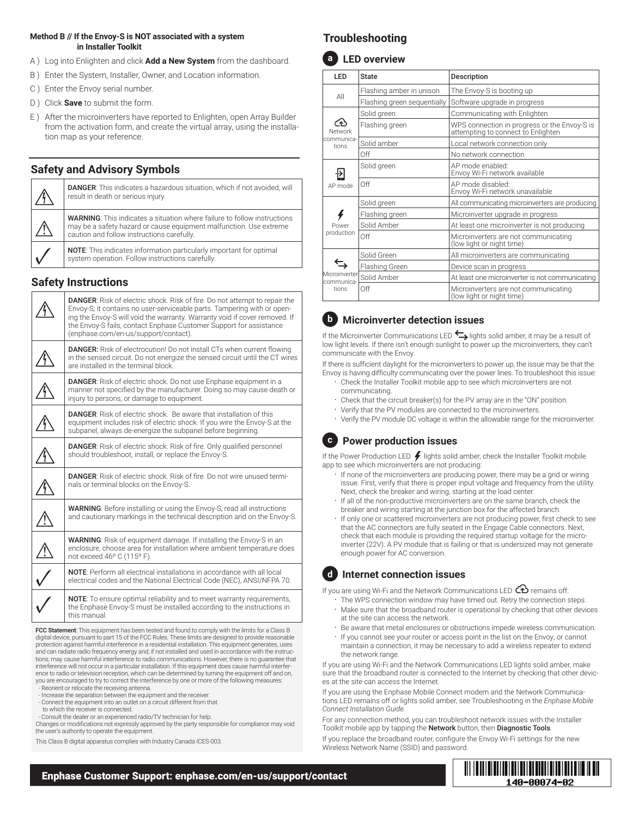## **Method B // If the Envoy-S is NOT associated with a system in Installer Toolkit**

- A ) Log into Enlighten and click **Add a New System** from the dashboard.
- B ) Enter the System, Installer, Owner, and Location information.
- C ) Enter the Envoy serial number.
- D ) Click **Save** to submit the form.
- E ) After the microinverters have reported to Enlighten, open Array Builder from the activation form, and create the virtual array, using the installation map as your reference.

# **Safety and Advisory Symbols**

| <b>DANGER:</b> This indicates a hazardous situation, which if not avoided, will<br>result in death or serious injury.                                                                               |  |  |
|-----------------------------------------------------------------------------------------------------------------------------------------------------------------------------------------------------|--|--|
| <b>WARNING:</b> This indicates a situation where failure to follow instructions<br>may be a safety hazard or cause equipment malfunction. Use extreme<br>caution and follow instructions carefully. |  |  |
| <b>NOTE:</b> This indicates information particularly important for optimal<br>system operation. Follow instructions carefully.                                                                      |  |  |

## **Safety Instructions**

| <b>DANGER:</b> Risk of electric shock. Risk of fire. Do not attempt to repair the<br>Envoy-S; it contains no user-serviceable parts. Tampering with or open-<br>ing the Envoy-S will void the warranty. Warranty void if cover removed. If<br>the Envoy-S fails, contact Enphase Customer Support for assistance<br>(enphase.com/en-us/support/contact). |  |
|----------------------------------------------------------------------------------------------------------------------------------------------------------------------------------------------------------------------------------------------------------------------------------------------------------------------------------------------------------|--|
| <b>DANGER:</b> Risk of electrocution! Do not install CTs when current flowing<br>in the sensed circuit. Do not energize the sensed circuit until the CT wires<br>are installed in the terminal block.                                                                                                                                                    |  |
| <b>DANGER:</b> Risk of electric shock. Do not use Enphase equipment in a<br>manner not specified by the manufacturer. Doing so may cause death or<br>injury to persons, or damage to equipment.                                                                                                                                                          |  |
| <b>DANGER:</b> Risk of electric shock. Be aware that installation of this<br>equipment includes risk of electric shock. If you wire the Envoy-S at the<br>subpanel, always de-energize the subpanel before beginning.                                                                                                                                    |  |
| <b>DANGER:</b> Risk of electric shock. Risk of fire. Only qualified personnel<br>should troubleshoot, install, or replace the Envoy-S.                                                                                                                                                                                                                   |  |
| <b>DANGER:</b> Risk of electric shock. Risk of fire. Do not wire unused termi-<br>nals or terminal blocks on the Envoy-S.                                                                                                                                                                                                                                |  |
| <b>WARNING:</b> Before installing or using the Envoy-S, read all instructions<br>and cautionary markings in the technical description and on the Envoy-S.                                                                                                                                                                                                |  |
| WARNING: Risk of equipment damage. If installing the Envoy-S in an<br>enclosure, choose area for installation where ambient temperature does<br>not exceed 46° C (115° F).                                                                                                                                                                               |  |
| <b>NOTE:</b> Perform all electrical installations in accordance with all local<br>electrical codes and the National Electrical Code (NEC), ANSI/NFPA 70.                                                                                                                                                                                                 |  |
| <b>NOTE:</b> To ensure optimal reliability and to meet warranty requirements,<br>the Enphase Envoy-S must be installed according to the instructions in<br>this manual.                                                                                                                                                                                  |  |

FCC Statement: This equipment has been tested and found to comply with the limits for a Class B digital device, pursuant to part 15 of the FCC Rules. These limits are designed to provide reasonable protection against harmful interference in a residential installation. This equipment generates, uses and can radiate radio frequency energy and, if not installed and used in accordance with the instructions, may cause harmful interference to radio communications. However, there is no guarantee that interference will not occur in a particular installation. If this equipment does cause harmful interfer-ence to radio or television reception, which can be determined by turning the equipment off and on, you are encouraged to try to correct the interference by one or more of the following measures:

- Reorient or relocate the receiving antenna. - Increase the separation between the equipment and the receiver.

- Connect the equipment into an outlet on a circuit different from that
- to which the receiver is connected. Consult the dealer or an experienced radio/TV technician for help.

Changes or modifications not expressly approved by the party responsible for compliance may void the user's authority to operate the equipment.

This Class B digital apparatus complies with Industry Canada ICES-003.

# **Troubleshooting**



| <b>LED</b>                             | <b>State</b>                | Description                                                                        |
|----------------------------------------|-----------------------------|------------------------------------------------------------------------------------|
| All                                    | Flashing amber in unison    | The Envoy-S is booting up                                                          |
|                                        | Flashing green sequentially | Software upgrade in progress                                                       |
| ົ⁄∱່<br>Network<br>communica-<br>tions | Solid green                 | Communicating with Enlighten                                                       |
|                                        | Flashing green              | WPS connection in progress or the Envoy-S is<br>attempting to connect to Enlighten |
|                                        | Solid amber                 | Local network connection only                                                      |
|                                        | Off                         | No network connection                                                              |
| AP mode                                | Solid green                 | AP mode enabled:<br>Envoy Wi-Fi network available                                  |
|                                        | Off                         | AP mode disabled:<br>Envoy Wi-Fi network unavailable                               |
| 4<br>Power<br>production               | Solid green                 | All communicating microinverters are producing                                     |
|                                        | Flashing green              | Microinverter upgrade in progress                                                  |
|                                        | Solid Amber                 | At least one microinverter is not producing                                        |
|                                        | Off                         | Microinverters are not communicating<br>(low light or night time)                  |
| Microinverter<br>communica-<br>tions   | Solid Green                 | All microinverters are communicating                                               |
|                                        | <b>Flashing Green</b>       | Device scan in progress                                                            |
|                                        | Solid Amber                 | At least one microinverter is not communicating                                    |
|                                        | Off                         | Microinverters are not communicating<br>(low light or night time)                  |

# **b Microinverter detection issues**

If the Microinverter Communications LED  $\leftrightarrow$  lights solid amber, it may be a result of low light levels. If there isn't enough sunlight to power up the microinverters, they can't communicate with the Envoy.

If there is sufficient daylight for the microinverters to power up, the issue may be that the Envoy is having difficulty communicating over the power lines. To troubleshoot this issue:

- Check the Installer Toolkit mobile app to see which microinverters are not communicating.
- Check that the circuit breaker(s) for the PV array are in the "ON" position.
- Verify that the PV modules are connected to the microinverters.
- Verify the PV module DC voltage is within the allowable range for the microinverter.

# **c Power production issues**

If the Power Production LED  $\neq$  lights solid amber, check the Installer Toolkit mobile app to see which microinverters are not producing:

- If none of the microinverters are producing power, there may be a grid or wiring issue. First, verify that there is proper input voltage and frequency from the utility. Next, check the breaker and wiring, starting at the load center.
- If all of the non-productive microinverters are on the same branch, check the breaker and wiring starting at the junction box for the affected branch.
- If only one or scattered microinverters are not producing power, first check to see that the AC connectors are fully seated in the Engage Cable connectors. Next, check that each module is providing the required startup voltage for the microinverter (22V). A PV module that is failing or that is undersized may not generate enough power for AC conversion.

# **d Internet connection issues**

If you are using Wi-Fi and the Network Communications LED  $\bigoplus$  remains off:

- The WPS connection window may have timed out. Retry the connection steps. • Make sure that the broadband router is operational by checking that other devices at the site can access the network.
- Be aware that metal enclosures or obstructions impede wireless communication.
- If you cannot see your router or access point in the list on the Envoy, or cannot maintain a connection, it may be necessary to add a wireless repeater to extend the network range.

If you are using Wi-Fi and the Network Communications LED lights solid amber, make sure that the broadband router is connected to the Internet by checking that other devices at the site can access the Internet.

If you are using the Enphase Mobile Connect modem and the Network Communications LED remains off or lights solid amber, see Troubleshooting in the *Enphase Mobile Connect Installation Guide.*

For any connection method, you can troubleshoot network issues with the Installer Toolkit mobile app by tapping the Network button, then Diagnostic Tools.

If you replace the broadband router, configure the Envoy Wi-Fi settings for the new Wireless Network Name (SSID) and password.